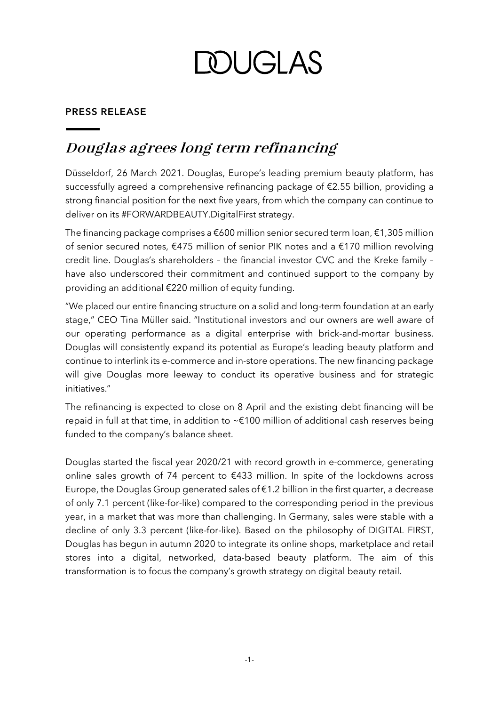**DOUGLAS** 

### **PRESS RELEASE**

## **Douglas agrees long term refinancing**

Düsseldorf, 26 March 2021. Douglas, Europe's leading premium beauty platform, has successfully agreed a comprehensive refinancing package of €2.55 billion, providing a strong financial position for the next five years, from which the company can continue to deliver on its #FORWARDBEAUTY.DigitalFirst strategy.

The financing package comprises a  $\epsilon$ 600 million senior secured term loan,  $\epsilon$ 1,305 million of senior secured notes, €475 million of senior PIK notes and a €170 million revolving credit line. Douglas's shareholders – the financial investor CVC and the Kreke family – have also underscored their commitment and continued support to the company by providing an additional €220 million of equity funding.

"We placed our entire financing structure on a solid and long-term foundation at an early stage," CEO Tina Müller said. "Institutional investors and our owners are well aware of our operating performance as a digital enterprise with brick-and-mortar business. Douglas will consistently expand its potential as Europe's leading beauty platform and continue to interlink its e-commerce and in-store operations. The new financing package will give Douglas more leeway to conduct its operative business and for strategic initiatives."

The refinancing is expected to close on 8 April and the existing debt financing will be repaid in full at that time, in addition to ~€100 million of additional cash reserves being funded to the company's balance sheet.

Douglas started the fiscal year 2020/21 with record growth in e-commerce, generating online sales growth of 74 percent to €433 million. In spite of the lockdowns across Europe, the Douglas Group generated sales of €1.2 billion in the first quarter, a decrease of only 7.1 percent (like-for-like) compared to the corresponding period in the previous year, in a market that was more than challenging. In Germany, sales were stable with a decline of only 3.3 percent (like-for-like). Based on the philosophy of DIGITAL FIRST, Douglas has begun in autumn 2020 to integrate its online shops, marketplace and retail stores into a digital, networked, data-based beauty platform. The aim of this transformation is to focus the company's growth strategy on digital beauty retail.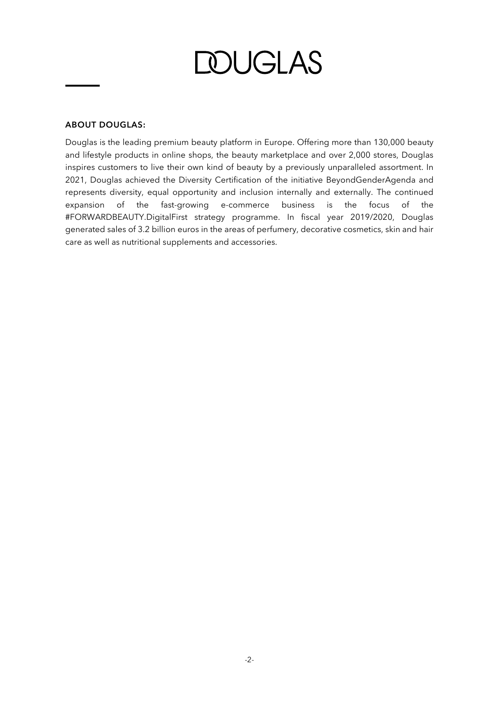*DUGLAS* 

#### **ABOUT DOUGLAS:**

Douglas is the leading premium beauty platform in Europe. Offering more than 130,000 beauty and lifestyle products in online shops, the beauty marketplace and over 2,000 stores, Douglas inspires customers to live their own kind of beauty by a previously unparalleled assortment. In 2021, Douglas achieved the Diversity Certification of the initiative BeyondGenderAgenda and represents diversity, equal opportunity and inclusion internally and externally. The continued expansion of the fast-growing e-commerce business is the focus of the #FORWARDBEAUTY.DigitalFirst strategy programme. In fiscal year 2019/2020, Douglas generated sales of 3.2 billion euros in the areas of perfumery, decorative cosmetics, skin and hair care as well as nutritional supplements and accessories.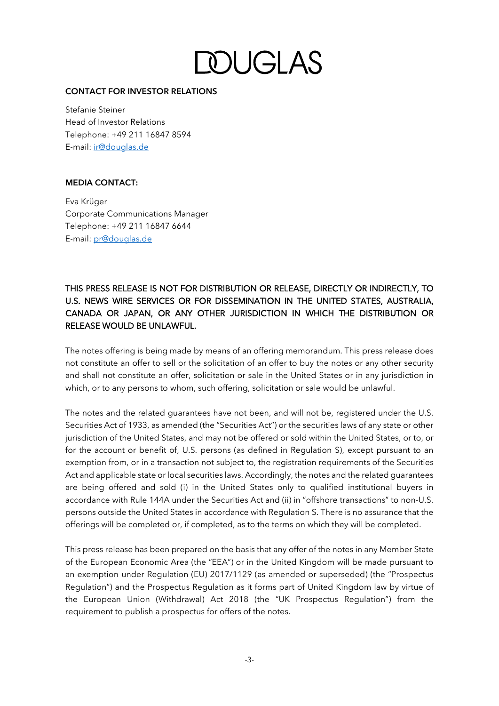**DOUGLAS** 

#### **CONTACT FOR INVESTOR RELATIONS**

Stefanie Steiner Head of Investor Relations Telephone: +49 211 16847 8594 E-mail: [ir@douglas.de](mailto:ir@douglas.de)

#### **MEDIA CONTACT:**

Eva Krüger Corporate Communications Manager Telephone: +49 211 16847 6644 E-mail: [pr@douglas.de](mailto:pr@douglas.de)

### THIS PRESS RELEASE IS NOT FOR DISTRIBUTION OR RELEASE, DIRECTLY OR INDIRECTLY, TO U.S. NEWS WIRE SERVICES OR FOR DISSEMINATION IN THE UNITED STATES, AUSTRALIA, CANADA OR JAPAN, OR ANY OTHER JURISDICTION IN WHICH THE DISTRIBUTION OR RELEASE WOULD BE UNLAWFUL.

The notes offering is being made by means of an offering memorandum. This press release does not constitute an offer to sell or the solicitation of an offer to buy the notes or any other security and shall not constitute an offer, solicitation or sale in the United States or in any jurisdiction in which, or to any persons to whom, such offering, solicitation or sale would be unlawful.

The notes and the related guarantees have not been, and will not be, registered under the U.S. Securities Act of 1933, as amended (the "Securities Act") or the securities laws of any state or other jurisdiction of the United States, and may not be offered or sold within the United States, or to, or for the account or benefit of, U.S. persons (as defined in Regulation S), except pursuant to an exemption from, or in a transaction not subject to, the registration requirements of the Securities Act and applicable state or local securities laws. Accordingly, the notes and the related guarantees are being offered and sold (i) in the United States only to qualified institutional buyers in accordance with Rule 144A under the Securities Act and (ii) in "offshore transactions" to non-U.S. persons outside the United States in accordance with Regulation S. There is no assurance that the offerings will be completed or, if completed, as to the terms on which they will be completed.

This press release has been prepared on the basis that any offer of the notes in any Member State of the European Economic Area (the "EEA") or in the United Kingdom will be made pursuant to an exemption under Regulation (EU) 2017/1129 (as amended or superseded) (the "Prospectus Regulation") and the Prospectus Regulation as it forms part of United Kingdom law by virtue of the European Union (Withdrawal) Act 2018 (the "UK Prospectus Regulation") from the requirement to publish a prospectus for offers of the notes.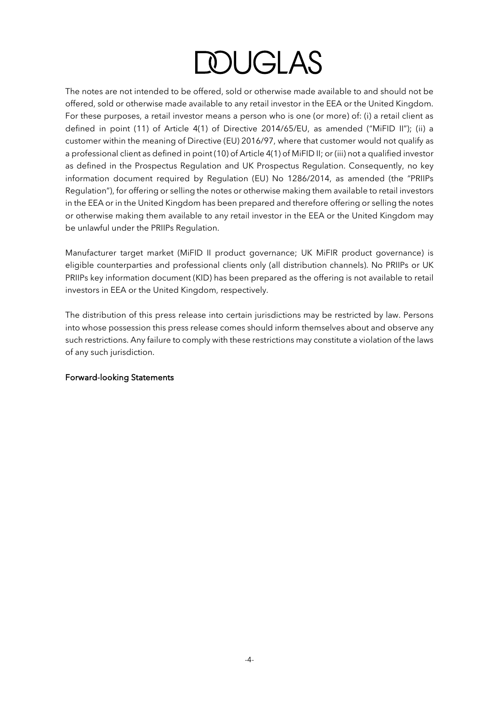# **DOUGLAS**

The notes are not intended to be offered, sold or otherwise made available to and should not be offered, sold or otherwise made available to any retail investor in the EEA or the United Kingdom. For these purposes, a retail investor means a person who is one (or more) of: (i) a retail client as defined in point (11) of Article 4(1) of Directive 2014/65/EU, as amended ("MiFID II"); (ii) a customer within the meaning of Directive (EU) 2016/97, where that customer would not qualify as a professional client as defined in point (10) of Article 4(1) of MiFID II; or (iii) not a qualified investor as defined in the Prospectus Regulation and UK Prospectus Regulation. Consequently, no key information document required by Regulation (EU) No 1286/2014, as amended (the "PRIIPs Regulation"), for offering or selling the notes or otherwise making them available to retail investors in the EEA or in the United Kingdom has been prepared and therefore offering or selling the notes or otherwise making them available to any retail investor in the EEA or the United Kingdom may be unlawful under the PRIIPs Regulation.

Manufacturer target market (MiFID II product governance; UK MiFIR product governance) is eligible counterparties and professional clients only (all distribution channels). No PRIIPs or UK PRIIPs key information document (KID) has been prepared as the offering is not available to retail investors in EEA or the United Kingdom, respectively.

The distribution of this press release into certain jurisdictions may be restricted by law. Persons into whose possession this press release comes should inform themselves about and observe any such restrictions. Any failure to comply with these restrictions may constitute a violation of the laws of any such jurisdiction.

#### Forward-looking Statements